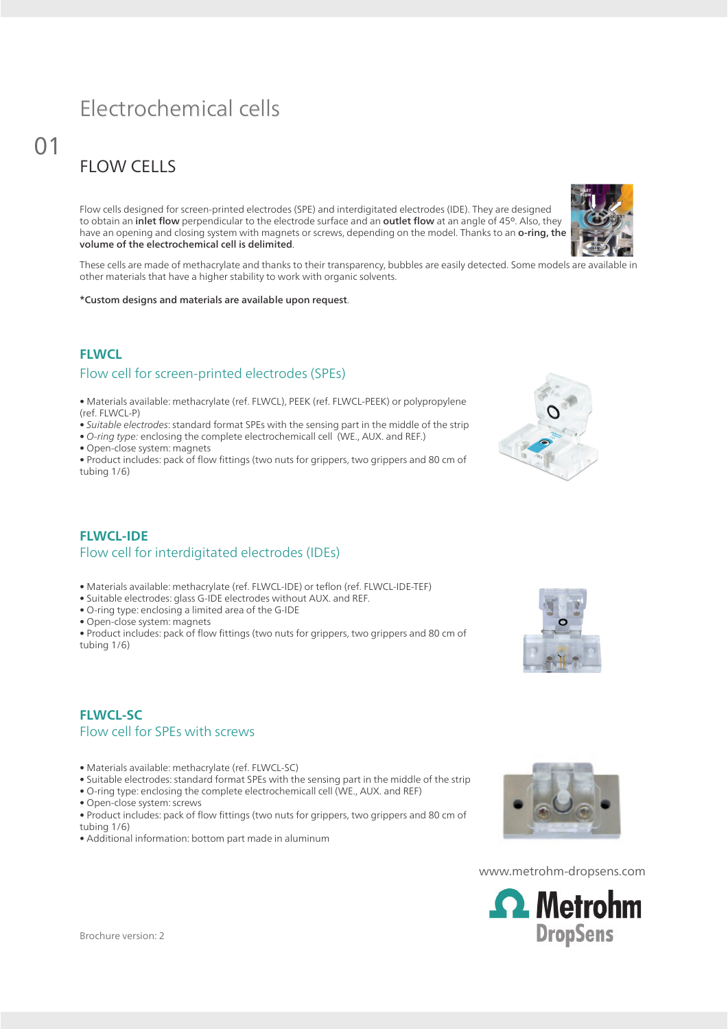## 01

## FLOW CELLS

Flow cells designed for screen-printed electrodes (SPE) and interdigitated electrodes (IDE). They are designed to obtain an inlet flow perpendicular to the electrode surface and an outlet flow at an angle of 45º. Also, they have an opening and closing system with magnets or screws, depending on the model. Thanks to an o-ring, the volume of the electrochemical cell is delimited.

These cells are made of methacrylate and thanks to their transparency, bubbles are easily detected. Some models are available in other materials that have a higher stability to work with organic solvents.

#### \*Custom designs and materials are available upon request.

#### **FLWCL**

#### Flow cell for screen-printed electrodes (SPEs)

• Materials available: methacrylate (ref. FLWCL), PEEK (ref. FLWCL-PEEK) or polypropylene (ref. FLWCL-P)

- *Suitable electrodes*: standard format SPEs with the sensing part in the middle of the strip • *O-ring type:* enclosing the complete electrochemicall cell (WE., AUX. and REF.)
- Open-close system: magnets

• Product includes: pack of flow fittings (two nuts for grippers, two grippers and 80 cm of tubing 1/6)

#### **FLWCL-IDE** Flow cell for interdigitated electrodes (IDEs)

- Materials available: methacrylate (ref. FLWCL-IDE) or teflon (ref. FLWCL-IDE-TEF)
- Suitable electrodes: glass G-IDE electrodes without AUX. and REF.
- O-ring type: enclosing a limited area of the G-IDE
- Open-close system: magnets

• Product includes: pack of flow fittings (two nuts for grippers, two grippers and 80 cm of tubing 1/6)

#### **FLWCL-SC** Flow cell for SPEs with screws

- Materials available: methacrylate (ref. FLWCL-SC)
- Suitable electrodes: standard format SPEs with the sensing part in the middle of the strip
- O-ring type: enclosing the complete electrochemicall cell (WE., AUX. and REF)
- Open-close system: screws
- Product includes: pack of flow fittings (two nuts for grippers, two grippers and 80 cm of tubing 1/6)
- Additional information: bottom part made in aluminum





www.metrohm-dropsens.com



Brochure version: 2

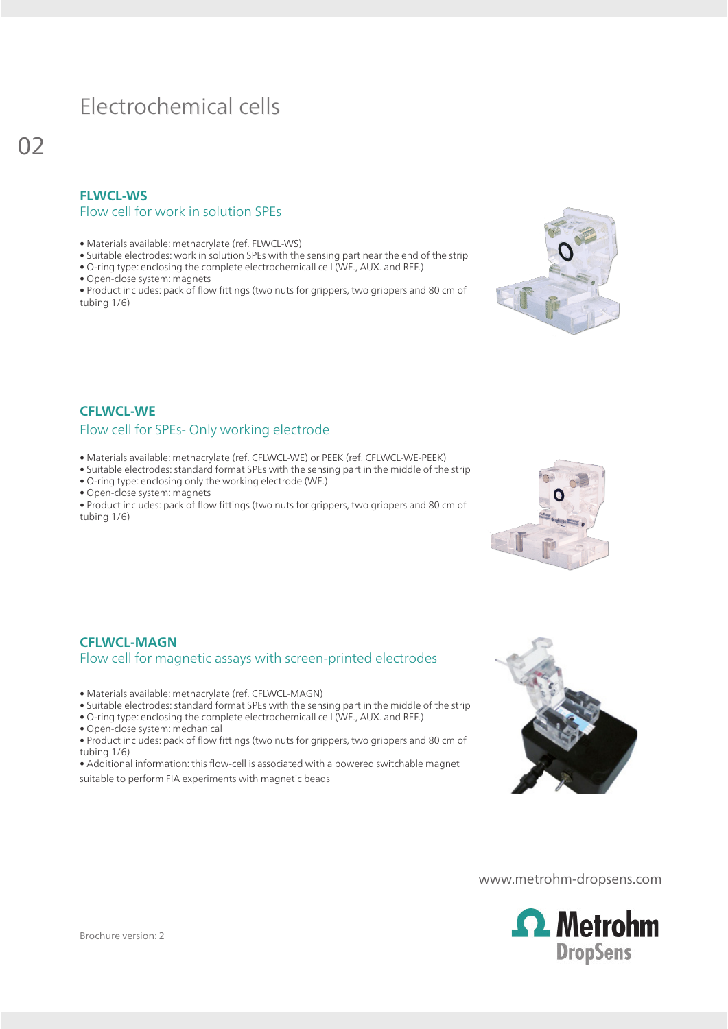#### **FLWCL-WS** Flow cell for work in solution SPEs

- Materials available: methacrylate (ref. FLWCL-WS)
- Suitable electrodes: work in solution SPEs with the sensing part near the end of the strip
- O-ring type: enclosing the complete electrochemicall cell (WE., AUX. and REF.)
- Open-close system: magnets

• Product includes: pack of flow fittings (two nuts for grippers, two grippers and 80 cm of tubing 1/6)



#### **CFLWCL-WE**

#### Flow cell for SPEs- Only working electrode

- Materials available: methacrylate (ref. CFLWCL-WE) or PEEK (ref. CFLWCL-WE-PEEK)
- Suitable electrodes: standard format SPEs with the sensing part in the middle of the strip
- O-ring type: enclosing only the working electrode (WE.)
- Open-close system: magnets

• Product includes: pack of flow fittings (two nuts for grippers, two grippers and 80 cm of tubing 1/6)



#### **CFLWCL-MAGN**

#### Flow cell for magnetic assays with screen-printed electrodes

- Materials available: methacrylate (ref. CFLWCL-MAGN)
- Suitable electrodes: standard format SPEs with the sensing part in the middle of the strip
- O-ring type: enclosing the complete electrochemicall cell (WE., AUX. and REF.)
- Open-close system: mechanical
- Product includes: pack of flow fittings (two nuts for grippers, two grippers and 80 cm of tubing 1/6)

• Additional information: this flow-cell is associated with a powered switchable magnet suitable to perform FIA experiments with magnetic beads



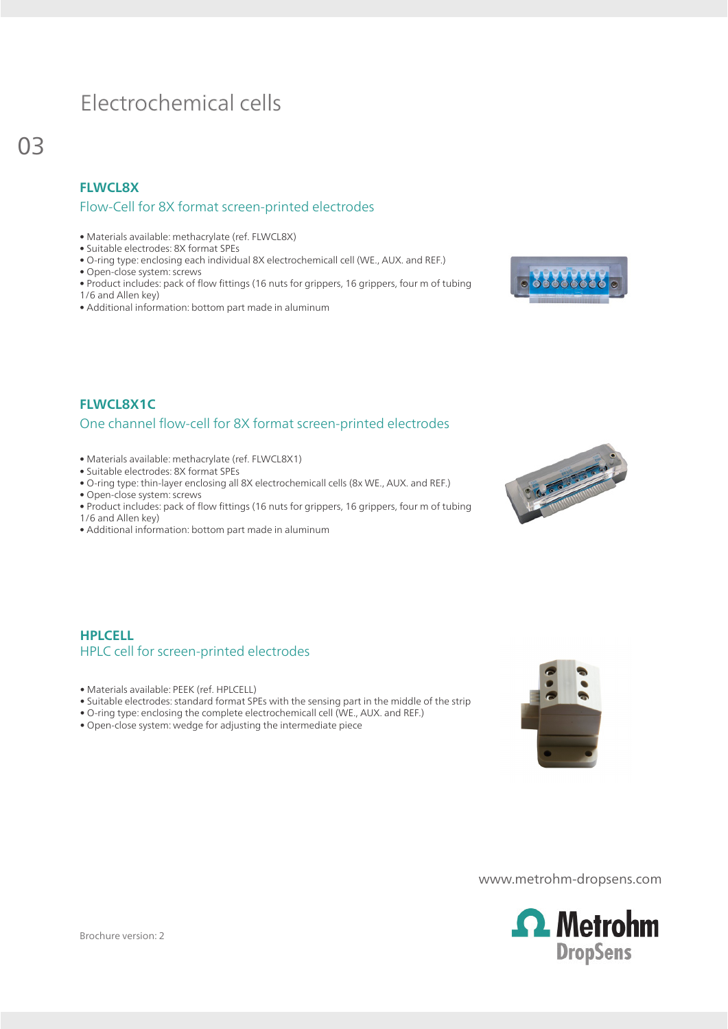### **FLWCL8X**

#### Flow-Cell for 8X format screen-printed electrodes

- Materials available: methacrylate (ref. FLWCL8X)
- Suitable electrodes: 8X format SPEs
- O-ring type: enclosing each individual 8X electrochemicall cell (WE., AUX. and REF.)
- Open-close system: screws
- Product includes: pack of flow fittings (16 nuts for grippers, 16 grippers, four m of tubing 1/6 and Allen key)
- Additional information: bottom part made in aluminum



### **FLWCL8X1C** One channel flow-cell for 8X format screen-printed electrodes

- Materials available: methacrylate (ref. FLWCL8X1)
- Suitable electrodes: 8X format SPEs
- O-ring type: thin-layer enclosing all 8X electrochemicall cells (8x WE., AUX. and REF.)
- Open-close system: screws
- Product includes: pack of flow fittings (16 nuts for grippers, 16 grippers, four m of tubing
- 1/6 and Allen key)
- Additional information: bottom part made in aluminum



### **HPLCELL** HPLC cell for screen-printed electrodes

- Materials available: PEEK (ref. HPLCELL)
- Suitable electrodes: standard format SPEs with the sensing part in the middle of the strip
- O-ring type: enclosing the complete electrochemicall cell (WE., AUX. and REF.)
- Open-close system: wedge for adjusting the intermediate piece



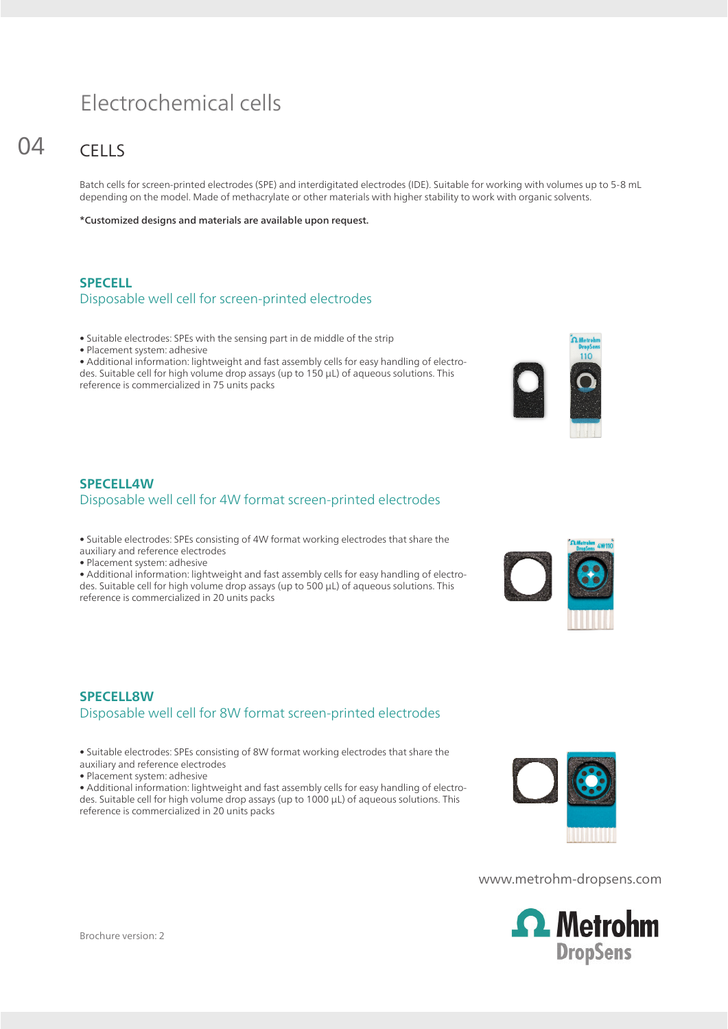#### $\cap \varDelta$ CELLS

Batch cells for screen-printed electrodes (SPE) and interdigitated electrodes (IDE). Suitable for working with volumes up to 5-8 mL depending on the model. Made of methacrylate or other materials with higher stability to work with organic solvents.

\*Customized designs and materials are available upon request.

#### **SPECELL** Disposable well cell for screen-printed electrodes

- Suitable electrodes: SPEs with the sensing part in de middle of the strip
- Placement system: adhesive

• Additional information: lightweight and fast assembly cells for easy handling of electrodes. Suitable cell for high volume drop assays (up to 150 µL) of aqueous solutions. This reference is commercialized in 75 units packs

#### **SPECELL4W** Disposable well cell for 4W format screen-printed electrodes

- Suitable electrodes: SPEs consisting of 4W format working electrodes that share the auxiliary and reference electrodes
- Placement system: adhesive

• Additional information: lightweight and fast assembly cells for easy handling of electrodes. Suitable cell for high volume drop assays (up to 500 µL) of aqueous solutions. This reference is commercialized in 20 units packs

#### **SPECELL8W** Disposable well cell for 8W format screen-printed electrodes

• Suitable electrodes: SPEs consisting of 8W format working electrodes that share the auxiliary and reference electrodes

• Placement system: adhesive

• Additional information: lightweight and fast assembly cells for easy handling of electrodes. Suitable cell for high volume drop assays (up to 1000 µL) of aqueous solutions. This reference is commercialized in 20 units packs







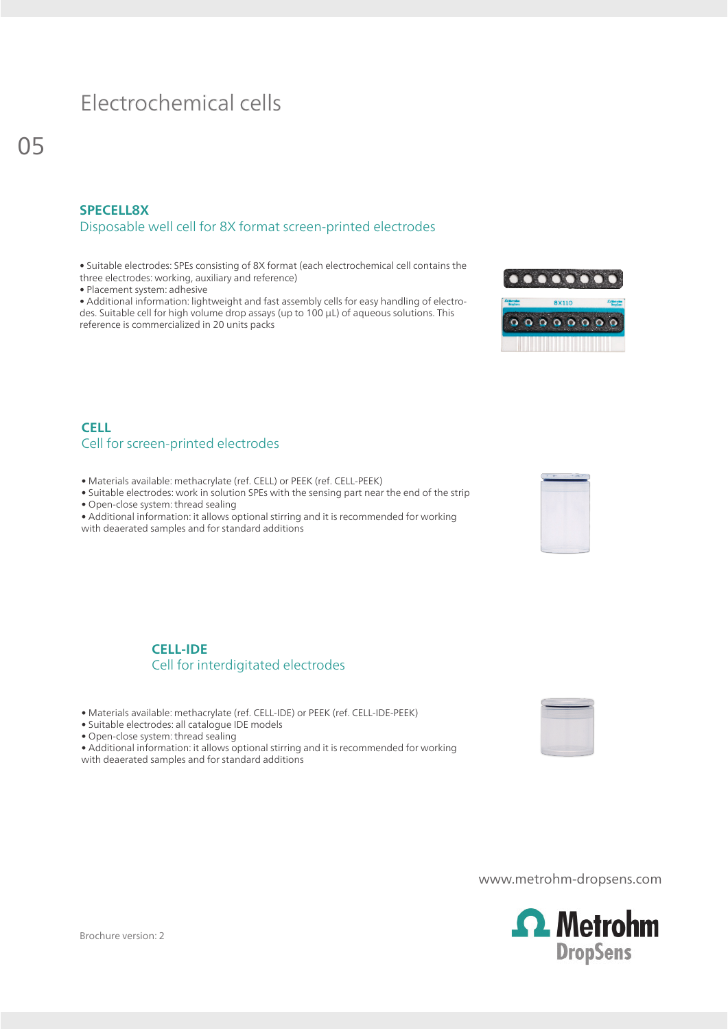#### **SPECELL8X** Disposable well cell for 8X format screen-printed electrodes

• Suitable electrodes: SPEs consisting of 8X format (each electrochemical cell contains the three electrodes: working, auxiliary and reference)

• Placement system: adhesive

• Additional information: lightweight and fast assembly cells for easy handling of electrodes. Suitable cell for high volume drop assays (up to 100 µL) of aqueous solutions. This reference is commercialized in 20 units packs

### **CELL** Cell for screen-printed electrodes

• Materials available: methacrylate (ref. CELL) or PEEK (ref. CELL-PEEK)

• Suitable electrodes: work in solution SPEs with the sensing part near the end of the strip

• Open-close system: thread sealing

• Additional information: it allows optional stirring and it is recommended for working with deaerated samples and for standard additions

#### **CELL-IDE** Cell for interdigitated electrodes

• Materials available: methacrylate (ref. CELL-IDE) or PEEK (ref. CELL-IDE-PEEK)

- Suitable electrodes: all catalogue IDE models
- Open-close system: thread sealing

• Additional information: it allows optional stirring and it is recommended for working with deaerated samples and for standard additions







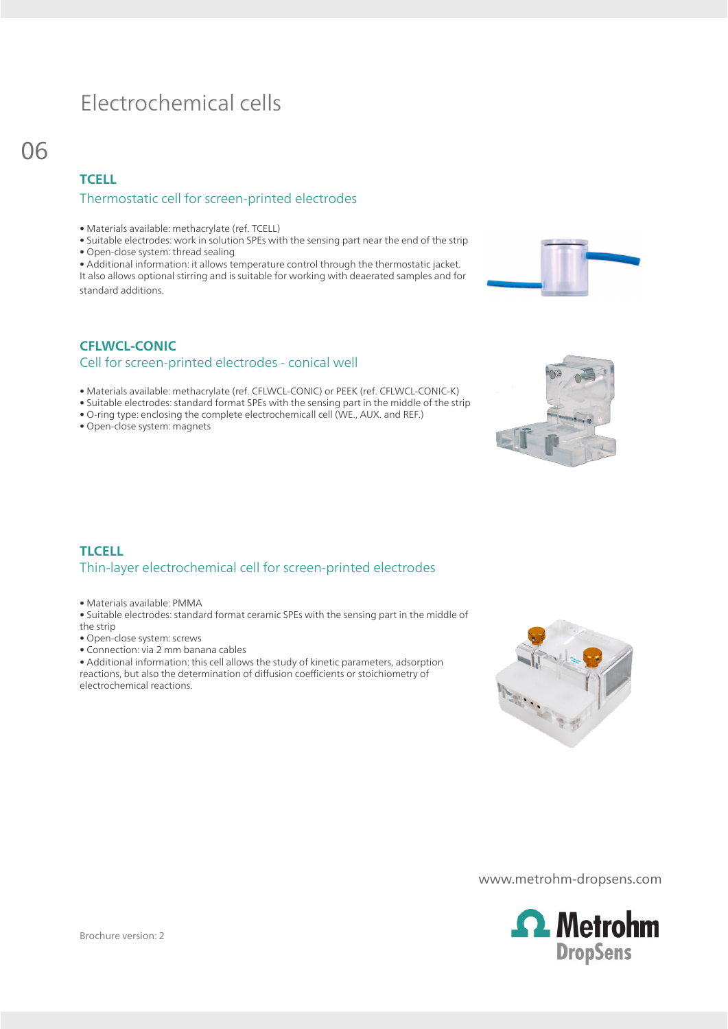## 06

#### **TCELL**

#### Thermostatic cell for screen-printed electrodes

- Materials available: methacrylate (ref. TCELL)
- Suitable electrodes: work in solution SPEs with the sensing part near the end of the strip
- Open-close system: thread sealing

• Additional information: it allows temperature control through the thermostatic jacket. It also allows optional stirring and is suitable for working with deaerated samples and for standard additions.

### **CFLWCL-CONIC** Cell for screen-printed electrodes - conical well

- Materials available: methacrylate (ref. CFLWCL-CONIC) or PEEK (ref. CFLWCL-CONIC-K)
- Suitable electrodes: standard format SPEs with the sensing part in the middle of the strip
- O-ring type: enclosing the complete electrochemicall cell (WE., AUX. and REF.)
- Open-close system: magnets



### **TLCELL** Thin-layer electrochemical cell for screen-printed electrodes

- Materials available: PMMA
- Suitable electrodes: standard format ceramic SPEs with the sensing part in the middle of the strip
- Open-close system: screws
- Connection: via 2 mm banana cables

• Additional information: this cell allows the study of kinetic parameters, adsorption reactions, but also the determination of diffusion coefficients or stoichiometry of electrochemical reactions.